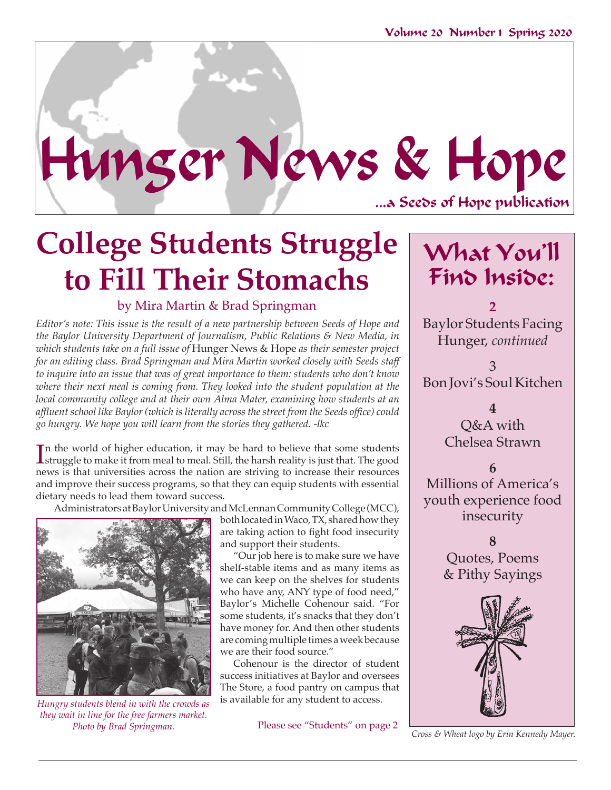

# **College Students Struggle to Fill Their Stomachs**

#### by Mira Martin & Brad Springman **2**

*Editor's note: This issue is the result of a new partnership between Seeds of Hope and the Baylor University Department of Journalism, Public Relations & New Media, in which students take on a full issue of* Hunger News & Hope *as their semester project for an editing class. Brad Springman and Mira Martin worked closely with Seeds staff to inquire into an issue that was of great importance to them: students who don't know where their next meal is coming from. They looked into the student population at the local community college and at their own Alma Mater, examining how students at an affluent school like Baylor (which is literally across the street from the Seeds office) could go hungry. We hope you will learn from the stories they gathered. -lkc*

In the world of higher education, it may be hard to believe that some students<br>struggle to make it from meal to meal. Still, the harsh reality is just that. The good struggle to make it from meal to meal. Still, the harsh reality is just that. The good news is that universities across the nation are striving to increase their resources and improve their success programs, so that they can equip students with essential dietary needs to lead them toward success.

Administrators at Baylor University and McLennan Community College (MCC),



 $\overline{H$ *ungry students blend in with the crowds as* is available for any student to access. *they wait in line for the free farmers market. Photo by Brad Springman.*

both located in Waco, TX, shared how they are taking action to fight food insecurity and support their students.

"Our job here is to make sure we have shelf-stable items and as many items as we can keep on the shelves for students who have any, ANY type of food need," Baylor's Michelle Cohenour said. "For some students, it's snacks that they don't have money for. And then other students are coming multiple times a week because we are their food source."

Cohenour is the director of student success initiatives at Baylor and oversees The Store, a food pantry on campus that

# What You'll Find Inside:

Baylor Students Facing Hunger, *continued* 

3 Bon Jovi's Soul Kitchen

> **4** Q&A with Chelsea Strawn

**6** Millions of America's youth experience food insecurity

> **8**  Quotes, Poems & Pithy Sayings



Please see "Students" on page 2 *Cross & Wheat logo by Erin Kennedy Mayer.*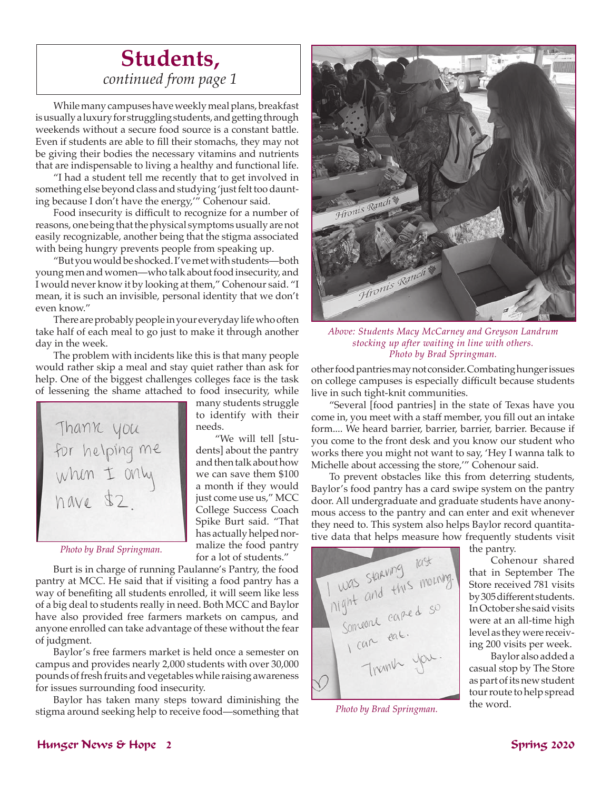#### **Students,** *continued from page 1*

While many campuses have weekly meal plans, breakfast is usually a luxury for struggling students, and getting through weekends without a secure food source is a constant battle. Even if students are able to fill their stomachs, they may not be giving their bodies the necessary vitamins and nutrients that are indispensable to living a healthy and functional life.

"I had a student tell me recently that to get involved in something else beyond class and studying 'just felt too daunting because I don't have the energy,'" Cohenour said.

Food insecurity is difficult to recognize for a number of reasons, one being that the physical symptoms usually are not easily recognizable, another being that the stigma associated with being hungry prevents people from speaking up.

"But you would be shocked. I've met with students—both young men and women—who talk about food insecurity, and I would never know it by looking at them," Cohenour said. "I mean, it is such an invisible, personal identity that we don't even know."

There are probably people in your everyday life who often take half of each meal to go just to make it through another day in the week.

The problem with incidents like this is that many people would rather skip a meal and stay quiet rather than ask for help. One of the biggest challenges colleges face is the task of lessening the shame attached to food insecurity, while

> many students struggle to identify with their

> "We will tell [students] about the pantry and then talk about how we can save them \$100 a month if they would just come use us," MCC College Success Coach Spike Burt said. "That has actually helped normalize the food pantry for a lot of students."

needs.



*Photo by Brad Springman.*

Burt is in charge of running Paulanne's Pantry, the food pantry at MCC. He said that if visiting a food pantry has a way of benefiting all students enrolled, it will seem like less of a big deal to students really in need. Both MCC and Baylor have also provided free farmers markets on campus, and anyone enrolled can take advantage of these without the fear of judgment.

Baylor's free farmers market is held once a semester on campus and provides nearly 2,000 students with over 30,000 pounds of fresh fruits and vegetables while raising awareness for issues surrounding food insecurity.

Baylor has taken many steps toward diminishing the stigma around seeking help to receive food—something that



*Above: Students Macy McCarney and Greyson Landrum stocking up after waiting in line with others. Photo by Brad Springman.*

other food pantries may not consider. Combating hunger issues on college campuses is especially difficult because students live in such tight-knit communities.

"Several [food pantries] in the state of Texas have you come in, you meet with a staff member, you fill out an intake form.... We heard barrier, barrier, barrier, barrier. Because if you come to the front desk and you know our student who works there you might not want to say, 'Hey I wanna talk to Michelle about accessing the store,'" Cohenour said.

To prevent obstacles like this from deterring students, Baylor's food pantry has a card swipe system on the pantry door. All undergraduate and graduate students have anonymous access to the pantry and can enter and exit whenever they need to. This system also helps Baylor record quantita-



the word. *Photo by Brad Springman.*

the pantry.

 Cohenour shared that in September The Store received 781 visits by 305 different students. In October she said visits were at an all-time high level as they were receiving 200 visits per week.

Baylor also added a casual stop by The Store as part of its new student tour route to help spread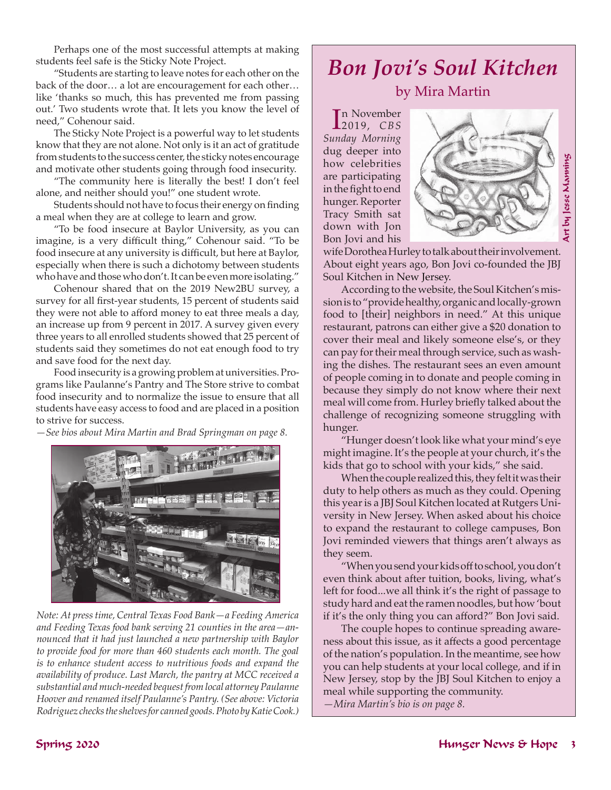Perhaps one of the most successful attempts at making students feel safe is the Sticky Note Project.

"Students are starting to leave notes for each other on the back of the door… a lot are encouragement for each other… like 'thanks so much, this has prevented me from passing out.' Two students wrote that. It lets you know the level of need," Cohenour said.

The Sticky Note Project is a powerful way to let students know that they are not alone. Not only is it an act of gratitude from students to the success center, the sticky notes encourage and motivate other students going through food insecurity.

"The community here is literally the best! I don't feel alone, and neither should you!" one student wrote.

Students should not have to focus their energy on finding a meal when they are at college to learn and grow.

"To be food insecure at Baylor University, as you can imagine, is a very difficult thing," Cohenour said. "To be food insecure at any university is difficult, but here at Baylor, especially when there is such a dichotomy between students who have and those who don't. It can be even more isolating."

Cohenour shared that on the 2019 New2BU survey, a survey for all first-year students, 15 percent of students said they were not able to afford money to eat three meals a day, an increase up from 9 percent in 2017. A survey given every three years to all enrolled students showed that 25 percent of students said they sometimes do not eat enough food to try and save food for the next day.

Food insecurity is a growing problem at universities. Programs like Paulanne's Pantry and The Store strive to combat food insecurity and to normalize the issue to ensure that all students have easy access to food and are placed in a position to strive for success.

*—See bios about Mira Martin and Brad Springman on page 8.*



*Note: At press time, Central Texas Food Bank—a Feeding America and Feeding Texas food bank serving 21 counties in the area—announced that it had just launched a new partnership with Baylor to provide food for more than 460 students each month. The goal is to enhance student access to nutritious foods and expand the availability of produce. Last March, the pantry at MCC received a substantial and much-needed bequest from local attorney Paulanne Hoover and renamed itself Paulanne's Pantry. (See above: Victoria Rodriguez checks the shelves for canned goods. Photo by Katie Cook.)*

#### *Bon Jovi's Soul Kitchen* by Mira Martin

In November<br>2019, *CBS* n November *Sunday Morning* dug deeper into how celebrities are participating in the fight to end hunger. Reporter Tracy Smith sat down with Jon Bon Jovi and his



Art by Jesse Manning Art by Jesse Manning

wife Dorothea Hurley to talk about their involvement. About eight years ago, Bon Jovi co-founded the JBJ Soul Kitchen in New Jersey.

According to the website, the Soul Kitchen's mission is to "provide healthy, organic and locally-grown food to [their] neighbors in need." At this unique restaurant, patrons can either give a \$20 donation to cover their meal and likely someone else's, or they can pay for their meal through service, such as washing the dishes. The restaurant sees an even amount of people coming in to donate and people coming in because they simply do not know where their next meal will come from. Hurley briefly talked about the challenge of recognizing someone struggling with hunger.

"Hunger doesn't look like what your mind's eye might imagine. It's the people at your church, it's the kids that go to school with your kids," she said.

When the couple realized this, they felt it was their duty to help others as much as they could. Opening this year is a JBJ Soul Kitchen located at Rutgers University in New Jersey. When asked about his choice to expand the restaurant to college campuses, Bon Jovi reminded viewers that things aren't always as they seem.

"When you send your kids off to school, you don't even think about after tuition, books, living, what's left for food...we all think it's the right of passage to study hard and eat the ramen noodles, but how 'bout if it's the only thing you can afford?" Bon Jovi said.

The couple hopes to continue spreading awareness about this issue, as it affects a good percentage of the nation's population. In the meantime, see how you can help students at your local college, and if in New Jersey, stop by the JBJ Soul Kitchen to enjoy a meal while supporting the community. *—Mira Martin's bio is on page 8.*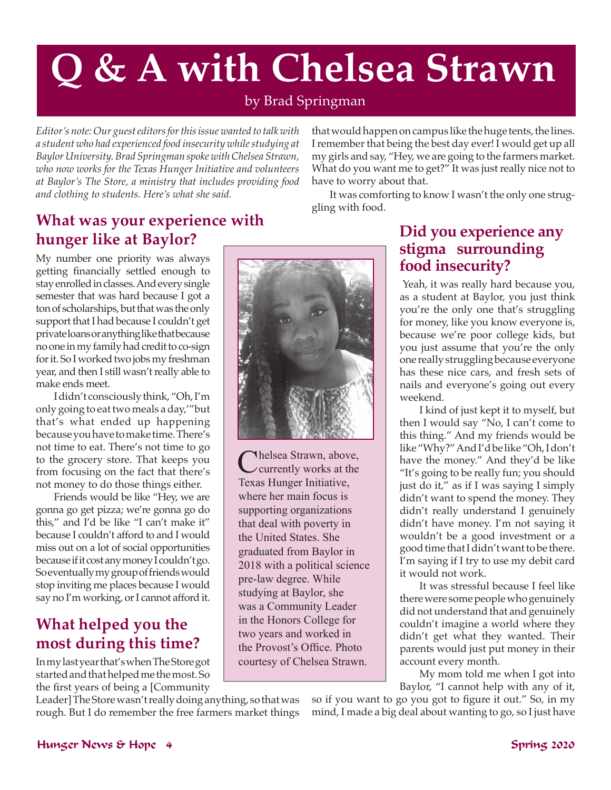# **Q & A with Chelsea Strawn**

#### by Brad Springman

*Editor's note: Our guest editors for this issue wanted to talk with a student who had experienced food insecurity while studying at Baylor University. Brad Springman spoke with Chelsea Strawn, who now works for the Texas Hunger Initiative and volunteers at Baylor's The Store, a ministry that includes providing food and clothing to students. Here's what she said.* 

that would happen on campus like the huge tents, the lines. I remember that being the best day ever! I would get up all my girls and say, "Hey, we are going to the farmers market. What do you want me to get?" It was just really nice not to have to worry about that.

It was comforting to know I wasn't the only one struggling with food.

#### **What was your experience with hunger like at Baylor?**

My number one priority was always getting financially settled enough to stay enrolled in classes. And every single semester that was hard because I got a ton of scholarships, but that was the only support that I had because I couldn't get private loans or anything like that because no one in my family had credit to co-sign for it. So I worked two jobs my freshman year, and then I still wasn't really able to make ends meet.

I didn't consciously think, "Oh, I'm only going to eat two meals a day,'"but that's what ended up happening because you have to make time. There's not time to eat. There's not time to go to the grocery store. That keeps you from focusing on the fact that there's not money to do those things either.

Friends would be like "Hey, we are gonna go get pizza; we're gonna go do this," and I'd be like "I can't make it" because I couldn't afford to and I would miss out on a lot of social opportunities because if it cost any money I couldn't go. So eventually my group of friends would stop inviting me places because I would say no I'm working, or I cannot afford it.

#### **What helped you the most during this time?**

In my last year that's when The Store got started and that helped me the most. So the first years of being a [Community

Leader] The Store wasn't really doing anything, so that was rough. But I do remember the free farmers market things



**Thelsea Strawn, above,** currently works at the Texas Hunger Initiative, where her main focus is supporting organizations that deal with poverty in the United States. She graduated from Baylor in 2018 with a political science pre-law degree. While studying at Baylor, she was a Community Leader in the Honors College for two years and worked in the Provost's Office. Photo courtesy of Chelsea Strawn.

#### **Did you experience any stigma surrounding food insecurity?**

Yeah, it was really hard because you, as a student at Baylor, you just think you're the only one that's struggling for money, like you know everyone is, because we're poor college kids, but you just assume that you're the only one really struggling because everyone has these nice cars, and fresh sets of nails and everyone's going out every weekend.

I kind of just kept it to myself, but then I would say "No, I can't come to this thing." And my friends would be like "Why?" And I'd be like "Oh, I don't have the money." And they'd be like "It's going to be really fun; you should just do it," as if I was saying I simply didn't want to spend the money. They didn't really understand I genuinely didn't have money. I'm not saying it wouldn't be a good investment or a good time that I didn't want to be there. I'm saying if I try to use my debit card it would not work.

It was stressful because I feel like there were some people who genuinely did not understand that and genuinely couldn't imagine a world where they didn't get what they wanted. Their parents would just put money in their account every month.

My mom told me when I got into Baylor, "I cannot help with any of it,

so if you want to go you got to figure it out." So, in my mind, I made a big deal about wanting to go, so I just have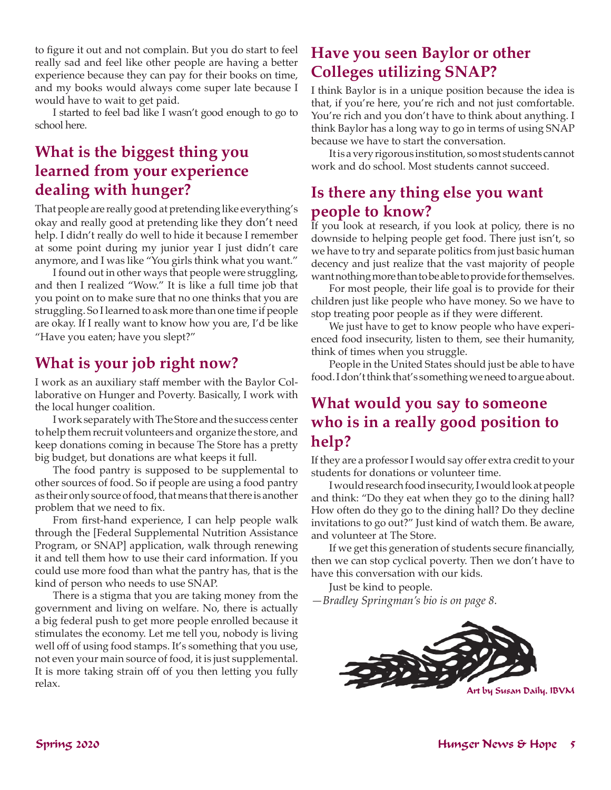to figure it out and not complain. But you do start to feel really sad and feel like other people are having a better experience because they can pay for their books on time, and my books would always come super late because I would have to wait to get paid.

I started to feel bad like I wasn't good enough to go to school here.

#### **What is the biggest thing you learned from your experience dealing with hunger?**

That people are really good at pretending like everything's okay and really good at pretending like they don't need help. I didn't really do well to hide it because I remember at some point during my junior year I just didn't care anymore, and I was like "You girls think what you want."

I found out in other ways that people were struggling, and then I realized "Wow." It is like a full time job that you point on to make sure that no one thinks that you are struggling. So I learned to ask more than one time if people are okay. If I really want to know how you are, I'd be like "Have you eaten; have you slept?"

#### **What is your job right now?**

I work as an auxiliary staff member with the Baylor Collaborative on Hunger and Poverty. Basically, I work with the local hunger coalition.

I work separately with The Store and the success center to help them recruit volunteers and organize the store, and keep donations coming in because The Store has a pretty big budget, but donations are what keeps it full.

The food pantry is supposed to be supplemental to other sources of food. So if people are using a food pantry as their only source of food, that means that there is another problem that we need to fix.

From first-hand experience, I can help people walk through the [Federal Supplemental Nutrition Assistance Program, or SNAP] application, walk through renewing it and tell them how to use their card information. If you could use more food than what the pantry has, that is the kind of person who needs to use SNAP.

There is a stigma that you are taking money from the government and living on welfare. No, there is actually a big federal push to get more people enrolled because it stimulates the economy. Let me tell you, nobody is living well off of using food stamps. It's something that you use, not even your main source of food, it is just supplemental. It is more taking strain off of you then letting you fully relax.

#### **Have you seen Baylor or other Colleges utilizing SNAP?**

I think Baylor is in a unique position because the idea is that, if you're here, you're rich and not just comfortable. You're rich and you don't have to think about anything. I think Baylor has a long way to go in terms of using SNAP because we have to start the conversation.

It is a very rigorous institution, so most students cannot work and do school. Most students cannot succeed.

#### **Is there any thing else you want people to know?**

If you look at research, if you look at policy, there is no downside to helping people get food. There just isn't, so we have to try and separate politics from just basic human decency and just realize that the vast majority of people want nothing more than to be able to provide for themselves.

For most people, their life goal is to provide for their children just like people who have money. So we have to stop treating poor people as if they were different.

We just have to get to know people who have experienced food insecurity, listen to them, see their humanity, think of times when you struggle.

People in the United States should just be able to have food. I don't think that's something we need to argue about.

#### **What would you say to someone who is in a really good position to help?**

If they are a professor I would say offer extra credit to your students for donations or volunteer time.

I would research food insecurity, I would look at people and think: "Do they eat when they go to the dining hall? How often do they go to the dining hall? Do they decline invitations to go out?" Just kind of watch them. Be aware, and volunteer at The Store.

If we get this generation of students secure financially, then we can stop cyclical poverty. Then we don't have to have this conversation with our kids.

Just be kind to people.

*—Bradley Springman's bio is on page 8.* 

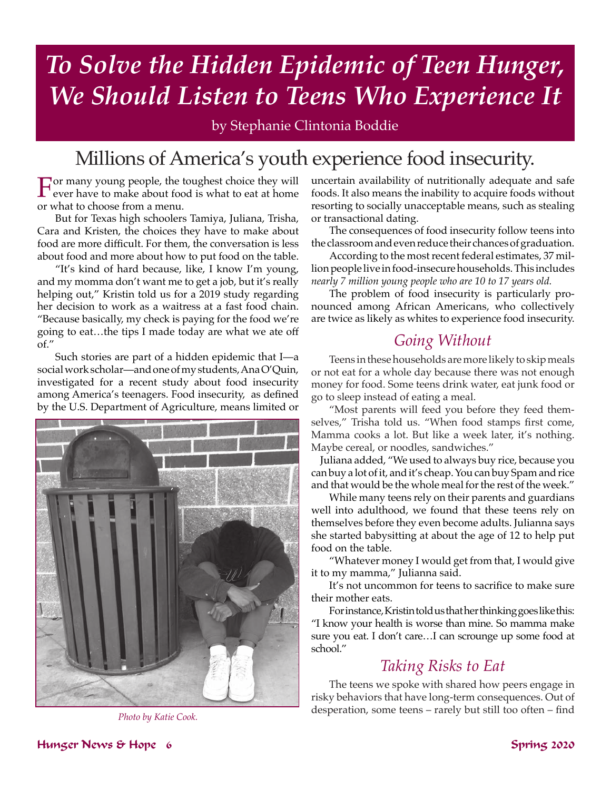# *To Solve the Hidden Epidemic of Teen Hunger, We Should Listen to Teens Who Experience It*

by Stephanie Clintonia Boddie

## Millions of America's youth experience food insecurity.

For many young people, the toughest choice they will<br>ever have to make about food is what to eat at home<br>events to show a many or what to choose from a menu.

But for Texas high schoolers Tamiya, Juliana, Trisha, Cara and Kristen, the choices they have to make about food are more difficult. For them, the conversation is less about food and more about how to put food on the table.

"It's kind of hard because, like, I know I'm young, and my momma don't want me to get a job, but it's really helping out," Kristin told us for a 2019 study regarding her decision to work as a waitress at a fast food chain. "Because basically, my check is paying for the food we're going to eat…the tips I made today are what we ate off of."

Such stories are part of a hidden epidemic that I—a social work scholar—and one of my students, Ana O'Quin, investigated for a recent study about food insecurity among America's teenagers. Food insecurity, as defined by the U.S. Department of Agriculture, means limited or



uncertain availability of nutritionally adequate and safe foods. It also means the inability to acquire foods without resorting to socially unacceptable means, such as stealing or transactional dating.

The consequences of food insecurity follow teens into the classroom andeven reduce their chances of graduation.

According to the most recent federal estimates, 37 million people live in food-insecure households. This includes *nearly 7 million young people who are 10 to 17 years old.*

The problem of food insecurity is particularly pronounced among African Americans, who collectively are twice as likely as whites to experience food insecurity.

#### *Going Without*

Teens in these households are more likely to skip meals or not eat for a whole day because there was not enough money for food. Some teens drink water, eat junk food or go to sleep instead of eating a meal.

"Most parents will feed you before they feed themselves," Trisha told us. "When food stamps first come, Mamma cooks a lot. But like a week later, it's nothing. Maybe cereal, or noodles, sandwiches."

Juliana added, "We used to always buy rice, because you can buy a lot of it, and it's cheap. You can buy Spam and rice and that would be the whole meal for the rest of the week."

While many teens rely on their parents and guardians well into adulthood, we found that these teens rely on themselves before they even become adults. Julianna says she started babysitting at about the age of 12 to help put food on the table.

"Whatever money I would get from that, I would give it to my mamma," Julianna said.

It's not uncommon for teens to sacrifice to make sure their mother eats.

For instance, Kristin told us that her thinking goes like this: "I know your health is worse than mine. So mamma make sure you eat. I don't care…I can scrounge up some food at school."

#### *Taking Risks to Eat*

The teens we spoke with shared how peers engage in risky behaviors that have long-term consequences. Out of desperation, some teens – rarely but still too often – find *Photo by Katie Cook.*

Hunger News & Hope 6 Spring 2020 Spring 2020 Spring 2020 Spring 2020 Spring 2020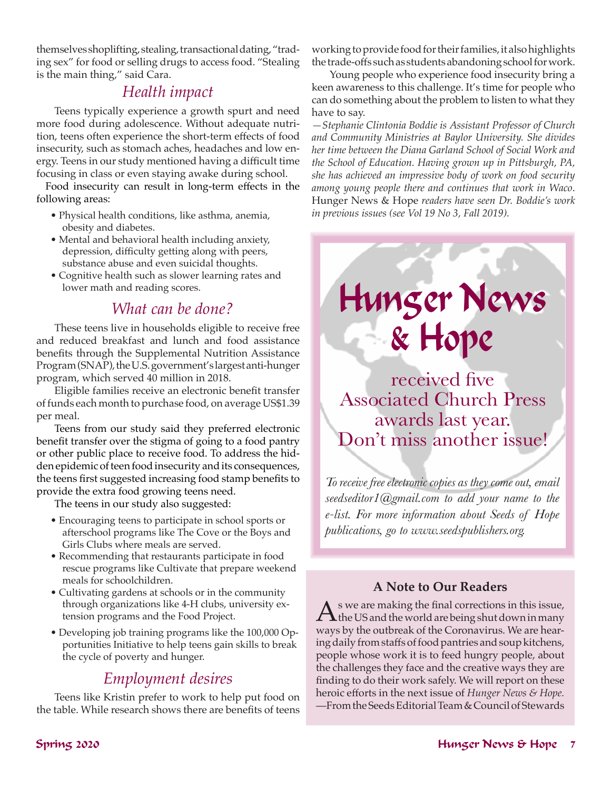themselves shoplifting, stealing, transactional dating, "trading sex" for food or selling drugs to access food. "Stealing is the main thing," said Cara.

#### *Health impact*

Teens typically experience a growth spurt and need more food during adolescence. Without adequate nutrition, teens often experience the short-term effects of food insecurity, such as stomach aches, headaches and low energy. Teens in our study mentioned having a difficult time focusing in class or even staying awake during school.

Food insecurity can result in long-term effects in the following areas:

- Physical health conditions, like asthma, anemia, obesity and diabetes.
- Mental and behavioral health including anxiety, depression, difficulty getting along with peers, substance abuse and even suicidal thoughts.
- Cognitive health such as slower learning rates and lower math and reading scores.

#### *What can be done?*

These teens live in households eligible to receive free and reduced breakfast and lunch and food assistance benefits through the Supplemental Nutrition Assistance Program (SNAP), the U.S. government's largest anti-hunger program, which served 40 million in 2018.

Eligible families receive an electronic benefit transfer of funds each month to purchase food, on average US\$1.39 per meal.

Teens from our study said they preferred electronic benefit transfer over the stigma of going to a food pantry or other public place to receive food. To address the hidden epidemic of teen food insecurity and its consequences, the teens first suggested increasing food stamp benefits to provide the extra food growing teens need.

The teens in our study also suggested:

- Encouraging teens to participate in school sports or afterschool programs like The Cove or the Boys and Girls Clubs where meals are served.
- Recommending that restaurants participate in food rescue programs like Cultivate that prepare weekend meals for schoolchildren.
- Cultivating gardens at schools or in the community through organizations like 4-H clubs, university extension programs and the Food Project.
- Developing job training programs like the 100,000 Opportunities Initiative to help teens gain skills to break the cycle of poverty and hunger.

#### *Employment desires*

Teens like Kristin prefer to work to help put food on the table. While research shows there are benefits of teens

workingto provide food for their families, it also highlights the trade-offs such as students abandoning school for work.

Young people who experience food insecurity bring a keen awareness to this challenge. It's time for people who can do something about the problem to listen to what they have to say.

*—Stephanie Clintonia Boddie is Assistant Professor of Church and Community Ministries at Baylor University. She divides her time between the Diana Garland School of Social Work and the School of Education. Having grown up in Pittsburgh, PA, she has achieved an impressive body of work on food security among young people there and continues that work in Waco*. Hunger News & Hope *readers have seen Dr. Boddie's work in previous issues (see Vol 19 No 3, Fall 2019).*



*To receive free electronic copies as they come out, email seedseditor1@gmail.com to add your name to the e-list. For more information about Seeds of Hope publications, go to www.seedspublishers.org.*

#### **A Note to Our Readers**

 $\Lambda$ s we are making the final corrections in this issue,<br>the US and the world are being shut down in many ways by the outbreak of the Coronavirus. We are hearing daily from staffs of food pantries and soup kitchens, people whose work it is to feed hungry people, about the challenges they face and the creative ways they are finding to do their work safely. We will report on these heroic efforts in the next issue of *Hunger News & Hope.* —From the Seeds Editorial Team & Council of Stewards